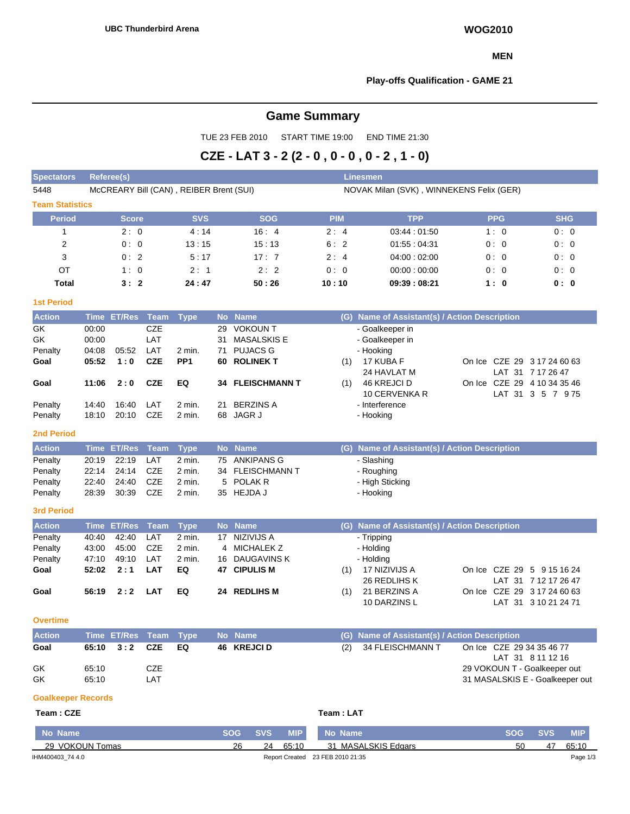#### **MEN**

### **Play-offs Qualification - GAME 21**

# **Game Summary**

TUE 23 FEB 2010 START TIME 19:00 END TIME 21:30

# **CZE - LAT 3 - 2 (2 - 0 , 0 - 0 , 0 - 2 , 1 - 0)**

| <b>Referee(s)</b><br>Linesmen<br><b>Spectators</b> |                                         |            |                                          |            |               |            |            |  |  |  |  |  |
|----------------------------------------------------|-----------------------------------------|------------|------------------------------------------|------------|---------------|------------|------------|--|--|--|--|--|
| 5448                                               | McCREARY Bill (CAN), REIBER Brent (SUI) |            | NOVAK Milan (SVK), WINNEKENS Felix (GER) |            |               |            |            |  |  |  |  |  |
| <b>Team Statistics</b>                             |                                         |            |                                          |            |               |            |            |  |  |  |  |  |
| Period                                             | <b>Score</b>                            | <b>SVS</b> | <b>SOG</b>                               | <b>PIM</b> | <b>TPP</b>    | <b>PPG</b> | <b>SHG</b> |  |  |  |  |  |
|                                                    | 2:0                                     | 4:14       | 16:4                                     | 2:4        | 03:44 : 01:50 | 1:0        | 0:0        |  |  |  |  |  |
| 2                                                  | 0:0                                     | 13:15      | 15:13                                    | 6:2        | 01:55:04:31   | 0:0        | 0:0        |  |  |  |  |  |
| 3                                                  | 0:2                                     | 5:17       | 17:7                                     | 2:4        | 04:00:02:00   | 0:0        | 0:0        |  |  |  |  |  |
| OT                                                 | 1:0                                     | 2:1        | 2:2                                      | 0:0        | 00:00:00:00   | 0:0        | 0:0        |  |  |  |  |  |
| <b>Total</b>                                       | 3:2                                     | 24:47      | 50:26                                    | 10:10      | 09:39:08:21   | 1:0        | 0: 0       |  |  |  |  |  |
| <b>1st Period</b>                                  |                                         |            |                                          |            |               |            |            |  |  |  |  |  |

| <b>Action</b> |       | Time ET/Res Team Type |            |                 |    | No Name                 |     | (G) Name of Assistant(s) / Action Description |  |                             |
|---------------|-------|-----------------------|------------|-----------------|----|-------------------------|-----|-----------------------------------------------|--|-----------------------------|
| GK.           | 00:00 |                       | <b>CZE</b> |                 | 29 | VOKOUN T                |     | - Goalkeeper in                               |  |                             |
| GK            | 00:00 |                       | LAT        |                 | 31 | MASALSKIS E             |     | - Goalkeeper in                               |  |                             |
| Penalty       | 04:08 | 05:52                 | LAT        | $2$ min.        |    | 71 PUJACS G             |     | - Hooking                                     |  |                             |
| Goal          | 05:52 | 1:0                   | <b>CZE</b> | PP <sub>1</sub> |    | 60 ROLINEK T            | (1) | 17 KUBA F                                     |  | On Ice CZE 29 3 17 24 60 63 |
|               |       |                       |            |                 |    |                         |     | 24 HAVLAT M                                   |  | LAT 31 7 17 26 47           |
| Goal          | 11:06 | 2:0                   | <b>CZE</b> | EQ.             |    | <b>34 FLEISCHMANN T</b> | (1) | 46 KREJCI D                                   |  | On Ice CZE 29 4 10 34 35 46 |
|               |       |                       |            |                 |    |                         |     | 10 CERVENKA R                                 |  | LAT 31 3 5 7 975            |
| Penalty       | 14:40 | 16:40                 | LAT        | 2 min.          | 21 | <b>BERZINS A</b>        |     | - Interference                                |  |                             |
| Penalty       | 18:10 | 20:10                 | CZE        | 2 min.          |    | 68 JAGR J               |     | - Hooking                                     |  |                             |

#### **2nd Period**

| <b>Action</b> | Time ET/Res Team Type |        | No Name          | (G) Name of Assistant(s) / Action Description |
|---------------|-----------------------|--------|------------------|-----------------------------------------------|
| Penalty       | 20:19 22:19 LAT       | 2 min. | 75 ANKIPANS G    | - Slashing                                    |
| Penalty       | 22:14 24:14 CZE       | 2 min. | 34 FLEISCHMANN T | - Roughing                                    |
| Penalty       | 22:40 24:40 CZE       | 2 min. | 5 POLAK R        | - High Sticking                               |
| Penalty       | 28:39 30:39 CZE       | 2 min. | 35 HEJDA J       | - Hooking                                     |

#### **3rd Period**

| <b>Action</b> |       | Time ET/Res Team Type |     |        |    | No Name        |     | (G) Name of Assistant(s) / Action Description |                             |
|---------------|-------|-----------------------|-----|--------|----|----------------|-----|-----------------------------------------------|-----------------------------|
| Penalty       | 40:40 | 42:40                 | LAT | 2 min. | 17 | NIZIVIJS A     |     | - Tripping                                    |                             |
| Penalty       | 43:00 | 45:00                 | CZE | 2 min. |    | 4 MICHALEK Z   |     | - Holding                                     |                             |
| Penalty       | 47:10 | 49:10                 | LAT | 2 min. |    | 16 DAUGAVINS K |     | - Holding                                     |                             |
| Goal          |       | $52:02 \quad 2:1$     | LAT | EQ     |    | 47 CIPULIS M   | (1) | 17 NIZIVIJS A                                 | On Ice CZE 29 5 9 15 16 24  |
|               |       |                       |     |        |    |                |     | 26 REDLIHS K                                  | LAT 31 7 12 17 26 47        |
| Goal          | 56:19 | 2:2                   | LAT | EQ     |    | 24 REDLIHS M   | (1) | 21 BERZINS A                                  | On Ice CZE 29 3 17 24 60 63 |
|               |       |                       |     |        |    |                |     | 10 DARZINS L                                  | LAT 31 3 10 21 24 71        |

#### **Overtime**

| <b>Action</b>    | Time ET/Res Team Type           |            |           | No Name     | (G) Name of Assistant(s) / Action Description |                                                                                                                   |
|------------------|---------------------------------|------------|-----------|-------------|-----------------------------------------------|-------------------------------------------------------------------------------------------------------------------|
| Goal<br>GK<br>GK | 65:10 3:2 CZE<br>65:10<br>65:10 | CZE<br>LAT | <b>EQ</b> | 46 KREJCI D | (2) 34 FLEISCHMANN T                          | On Ice CZE 29 34 35 46 77<br>LAT 31 8 11 12 16<br>29 VOKOUN T - Goalkeeper out<br>31 MASALSKIS E - Goalkeeper out |

#### **Goalkeeper Records**

#### $Team : CZE$

| Team : LAT |  |
|------------|--|
|            |  |

| No Name          | SOG ' | <b>SVS.</b> | <b>MIP</b> |    | No Name                          | SOG | <b>SVS</b> | <b>MIP</b> |
|------------------|-------|-------------|------------|----|----------------------------------|-----|------------|------------|
| 29 VOKOUN Tomas  | 26    | 24          | 65:10      | 31 | MASALSKIS Edgars                 | 50  | 47         |            |
| IHM400403 74 4.0 |       |             |            |    | Report Created 23 FEB 2010 21:35 |     |            | Page 1/3   |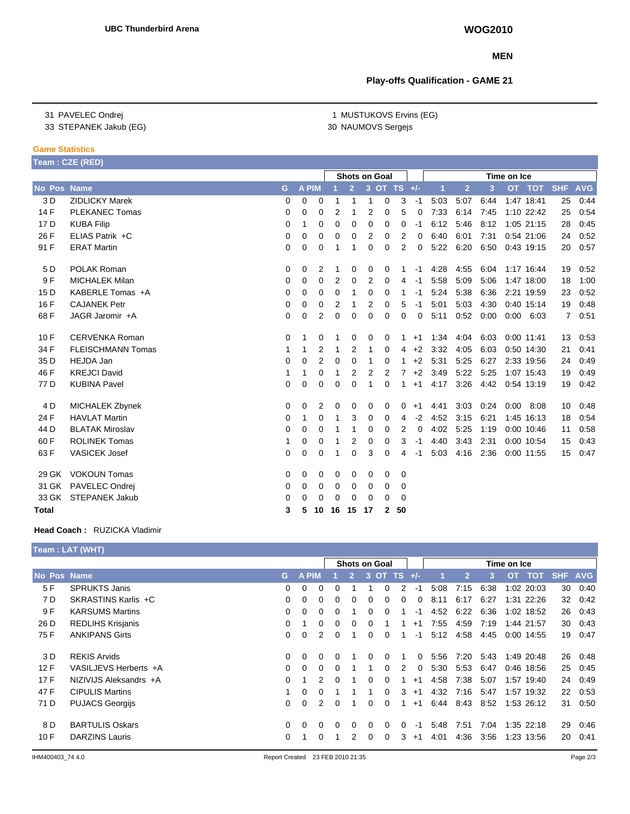#### **MEN**

## **Play-offs Qualification - GAME 21**

1 MUSTUKOVS Ervins (EG) 30 NAUMOVS Sergejs

31 PAVELEC Ondrej 33 STEPANEK Jakub (EG)

#### **Game Statistics**

|                 | Team: CZE (RED)          |   |          |              |                |                | <b>Shots on Goal</b> |          |             |          |      |                |      | Time on Ice |               |            |            |
|-----------------|--------------------------|---|----------|--------------|----------------|----------------|----------------------|----------|-------------|----------|------|----------------|------|-------------|---------------|------------|------------|
| No Pos Name     |                          | G |          | <b>A PIM</b> |                | $\overline{2}$ |                      |          | 3 OT TS +/- |          |      | $\overline{2}$ | 3    |             | OT TOT        | <b>SHF</b> | <b>AVG</b> |
| 3 D             | <b>ZIDLICKY Marek</b>    | 0 | $\Omega$ | $\Omega$     | 1              |                | 1                    | 0        | 3           | $-1$     | 5:03 | 5:07           | 6:44 |             | 1:47 18:41    | 25         | 0:44       |
| 14 F            | <b>PLEKANEC Tomas</b>    | 0 | 0        | 0            | 2              |                | 2                    | 0        | 5           | 0        | 7:33 | 6:14           | 7:45 |             | 1:10 22:42    | 25         | 0:54       |
| 17 D            | <b>KUBA Filip</b>        | 0 | 1        | 0            | $\Omega$       | $\Omega$       | $\Omega$             | 0        | 0           | -1       | 6:12 | 5:46           | 8:12 |             | 1:05 21:15    | 28         | 0:45       |
| 26 F            | ELIAS Patrik +C          | 0 | 0        | 0            | 0              | 0              | 2                    | 0        | 2           | 0        | 6:40 | 6:01           | 7:31 |             | 0:54 21:06    | 24         | 0:52       |
| 91 F            | <b>ERAT Martin</b>       | 0 | 0        | 0            |                |                | 0                    | 0        | 2           | $\Omega$ | 5:22 | 6:20           | 6:50 |             | 0:43 19:15    | 20         | 0:57       |
| 5 D             | POLAK Roman              | 0 | 0        | 2            |                | 0              | 0                    | 0        |             | -1       | 4:28 | 4:55           | 6:04 |             | 1:17 16:44    | 19         | 0:52       |
| 9 F             | <b>MICHALEK Milan</b>    | 0 | 0        | 0            | 2              | $\Omega$       | 2                    | 0        | 4           | -1       | 5:58 | 5:09           | 5:06 |             | 1:47 18:00    | 18         | 1:00       |
| 15 <sub>D</sub> | KABERLE Tomas +A         | 0 | 0        | 0            | $\mathbf 0$    | 1              | 0                    | 0        | 1           | -1       | 5:24 | 5:38           | 6:36 |             | 2:21 19:59    | 23         | 0:52       |
| 16 F            | <b>CAJANEK Petr</b>      | 0 | 0        | 0            | $\overline{2}$ | 1              | $\overline{2}$       | 0        | 5           | -1       | 5:01 | 5:03           | 4:30 |             | 0:40 15:14    | 19         | 0:48       |
| 68 F            | JAGR Jaromir +A          | 0 | 0        | 2            | $\Omega$       | $\Omega$       | $\Omega$             | 0        | 0           | 0        | 5:11 | 0:52           | 0:00 |             | $0:00$ $6:03$ | 7          | 0:51       |
| 10F             | <b>CERVENKA Roman</b>    | 0 | 1        | 0            |                | 0              | 0                    | 0        |             | $+1$     | 1:34 | 4:04           | 6:03 |             | $0:00$ 11:41  | 13         | 0:53       |
| 34 F            | <b>FLEISCHMANN Tomas</b> | 1 | 1        | 2            | 1              | 2              | 1                    | 0        | 4           | $+2$     | 3:32 | 4:05           | 6:03 |             | 0:50 14:30    | 21         | 0.41       |
| 35 D            | <b>HEJDA Jan</b>         | 0 | 0        | 2            | 0              | $\Omega$       | 1                    | 0        | 1           | $+2$     | 5:31 | 5:25           | 6:27 |             | 2:33 19:56    | 24         | 0:49       |
| 46 F            | <b>KREJCI David</b>      | 1 | 1        | $\Omega$     | 1              | 2              | 2                    | 2        | 7           | $+2$     | 3:49 | 5:22           | 5:25 |             | 1:07 15:43    | 19         | 0:49       |
| 77 D            | <b>KUBINA Pavel</b>      | 0 | 0        | 0            | $\mathbf 0$    | 0              | 1                    | $\Omega$ | 1           | $+1$     | 4:17 | 3:26           | 4:42 |             | 0:54 13:19    | 19         | 0:42       |
| 4 D             | MICHALEK Zbynek          | 0 | 0        | 2            | 0              | 0              | 0                    | 0        | 0           | $+1$     | 4:41 | 3:03           | 0:24 | 0:00        | 8:08          | 10         | 0:48       |
| 24 F            | <b>HAVLAT Martin</b>     | 0 | 1        | 0            | 1              | 3              | $\Omega$             | 0        | 4           | $-2$     | 4:52 | 3:15           | 6:21 |             | 1:45 16:13    | 18         | 0:54       |
| 44 D            | <b>BLATAK Miroslav</b>   | 0 | 0        | 0            |                | 1              | 0                    | 0        | 2           | 0        | 4:02 | 5:25           | 1:19 |             | 0:00 10:46    | 11         | 0:58       |
| 60 F            | <b>ROLINEK Tomas</b>     | 1 | 0        | 0            |                | 2              | 0                    | 0        | 3           | -1       | 4:40 | 3:43           | 2:31 |             | 0:00 10:54    | 15         | 0.43       |
| 63 F            | <b>VASICEK Josef</b>     | 0 | 0        | $\Omega$     |                | $\Omega$       | 3                    | $\Omega$ | 4           | -1       | 5:03 | 4:16           | 2:36 |             | 0:00 11:55    | 15         | 0:47       |
| 29 GK           | <b>VOKOUN Tomas</b>      | 0 | 0        | 0            | 0              | 0              | 0                    | 0        | 0           |          |      |                |      |             |               |            |            |
| 31 GK           | <b>PAVELEC Ondrej</b>    | 0 | 0        | 0            | 0              | 0              | 0                    | 0        | 0           |          |      |                |      |             |               |            |            |
| 33 GK           | <b>STEPANEK Jakub</b>    | 0 | 0        | 0            | 0              | 0              | $\Omega$             | $\Omega$ | $\Omega$    |          |      |                |      |             |               |            |            |
| <b>Total</b>    |                          | 3 | 5        | 10           | 16             | 15             | 17                   | 2        | 50          |          |      |                |      |             |               |            |            |

#### **Head Coach :** RUZICKA Vladimir

# **Team : LAT (WHT)**

|             |                          | <b>Shots on Goal</b> |             |              |              |                |          |                 | Time on Ice |          |      |                |      |      |            |         |      |
|-------------|--------------------------|----------------------|-------------|--------------|--------------|----------------|----------|-----------------|-------------|----------|------|----------------|------|------|------------|---------|------|
| No Pos Name |                          | G.                   | <b>APIM</b> |              |              | $\overline{2}$ |          | $3$ OT TS $+/-$ |             |          |      | $\overline{2}$ | 3    |      | OT TOT     | SHF AVG |      |
| 5 F         | <b>SPRUKTS Janis</b>     | 0                    | 0           | <sup>0</sup> |              |                |          | $\Omega$        | 2           | -1       | 5:08 | 7:15           | 6:38 |      | 1:02 20:03 | 30      | 0:40 |
| 7 D         | SKRASTINS Karlis +C      | $\Omega$             | $\Omega$    | 0            | $\Omega$     | 0              | $\Omega$ | $\Omega$        | 0           | $\Omega$ | 8:11 | 6:17           | 6:27 |      | 1:31 22:26 | 32      | 0:42 |
| 9 F         | <b>KARSUMS Martins</b>   | $\Omega$             | $\Omega$    | 0            |              |                | 0        | $\Omega$        |             | $-1$     | 4:52 | 6:22           | 6:36 |      | 1:02 18:52 | 26      | 0.43 |
| 26 D        | <b>REDLIHS Krisjanis</b> | $\Omega$             |             | 0            | <sup>0</sup> | $\Omega$       | $\Omega$ |                 | 1           | $+1$     | 7:55 | 4.59           | 7:19 |      | 1:44 21:57 | 30      | 0.43 |
| 75 F        | <b>ANKIPANS Girts</b>    | $\Omega$             | $\Omega$    | 2            |              |                | 0        | $\Omega$        |             | $-1$     | 5:12 | 4:58           | 4:45 | 0:00 | 14:55      | 19      | 0:47 |
| 3 D         | <b>REKIS Arvids</b>      | $\Omega$             | $\Omega$    | 0            | 0            |                | $\Omega$ | $\Omega$        |             | 0        | 5:56 | 7:20           | 5:43 |      | 1:49 20:48 | 26      | 0:48 |
| 12F         | VASILJEVS Herberts +A    | 0                    | $\Omega$    | 0            |              |                |          | $\Omega$        | 2           | $\Omega$ | 5:30 | 5:53           | 6:47 |      | 0:46 18:56 | 25      | 0:45 |
| 17F         | NIZIVIJS Aleksandrs +A   | $\Omega$             |             | 2            | $\Omega$     |                | $\Omega$ | $\Omega$        | 1           | $+1$     | 4:58 | 7:38           | 5:07 |      | 1:57 19:40 | 24      | 0:49 |
| 47 F        | <b>CIPULIS Martins</b>   |                      | $\Omega$    | 0            |              |                |          | $\Omega$        | 3           | $+1$     | 4:32 | 7:16           | 5:47 |      | 1:57 19:32 | 22      | 0.53 |
| 71 D        | <b>PUJACS Georgijs</b>   | $\Omega$             | $\Omega$    | 2            | $\Omega$     |                | $\Omega$ | $\Omega$        | 1           | $+1$     | 6:44 | 8:43           | 8:52 |      | 1:53 26:12 | 31      | 0:50 |
| 8 D         | <b>BARTULIS Oskars</b>   | $\Omega$             | $\Omega$    | <sup>o</sup> | $\Omega$     | $\Omega$       | $\Omega$ | $\Omega$        | 0           | $-1$     | 5:48 | 7:51           | 7:04 |      | 1:35 22:18 | 29      | 0:46 |
| 10 F        | <b>DARZINS Lauris</b>    | $\Omega$             |             | O.           |              |                | $\Omega$ | $\Omega$        | 3           | $+1$     | 4:01 | 4:36           | 3:56 |      | 1:23 13:56 | 20      | 0:41 |